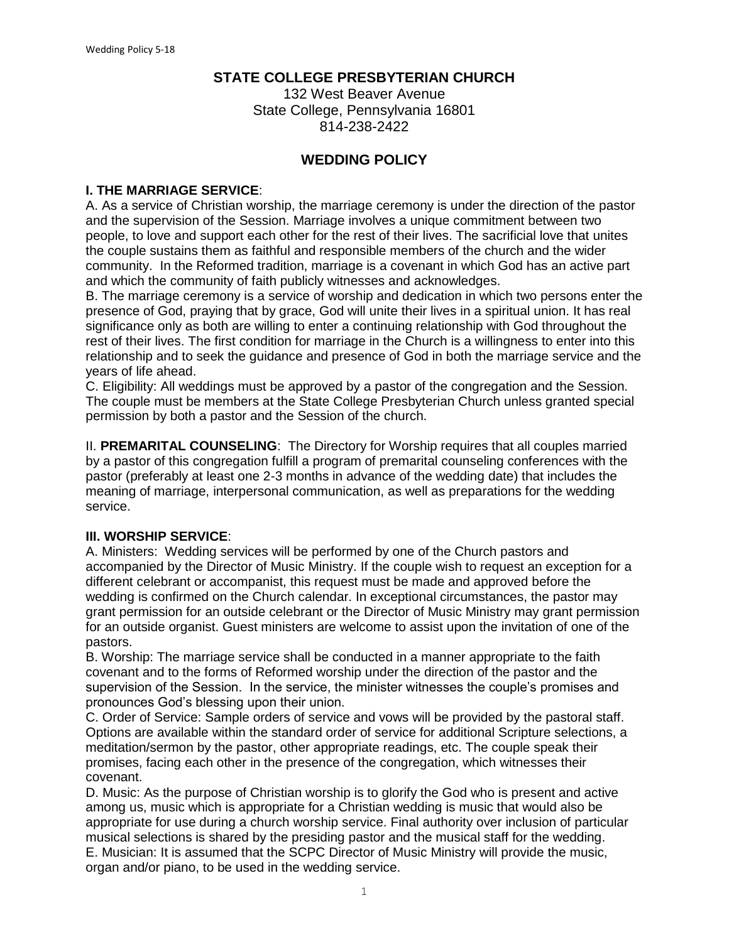## **STATE COLLEGE PRESBYTERIAN CHURCH**

132 West Beaver Avenue State College, Pennsylvania 16801 814-238-2422

## **WEDDING POLICY**

#### **I. THE MARRIAGE SERVICE**:

A. As a service of Christian worship, the marriage ceremony is under the direction of the pastor and the supervision of the Session. Marriage involves a unique commitment between two people, to love and support each other for the rest of their lives. The sacrificial love that unites the couple sustains them as faithful and responsible members of the church and the wider community. In the Reformed tradition, marriage is a covenant in which God has an active part and which the community of faith publicly witnesses and acknowledges.

B. The marriage ceremony is a service of worship and dedication in which two persons enter the presence of God, praying that by grace, God will unite their lives in a spiritual union. It has real significance only as both are willing to enter a continuing relationship with God throughout the rest of their lives. The first condition for marriage in the Church is a willingness to enter into this relationship and to seek the guidance and presence of God in both the marriage service and the years of life ahead.

C. Eligibility: All weddings must be approved by a pastor of the congregation and the Session. The couple must be members at the State College Presbyterian Church unless granted special permission by both a pastor and the Session of the church.

II. **PREMARITAL COUNSELING**: The Directory for Worship requires that all couples married by a pastor of this congregation fulfill a program of premarital counseling conferences with the pastor (preferably at least one 2-3 months in advance of the wedding date) that includes the meaning of marriage, interpersonal communication, as well as preparations for the wedding service.

#### **III. WORSHIP SERVICE**:

A. Ministers: Wedding services will be performed by one of the Church pastors and accompanied by the Director of Music Ministry. If the couple wish to request an exception for a different celebrant or accompanist, this request must be made and approved before the wedding is confirmed on the Church calendar. In exceptional circumstances, the pastor may grant permission for an outside celebrant or the Director of Music Ministry may grant permission for an outside organist. Guest ministers are welcome to assist upon the invitation of one of the pastors.

B. Worship: The marriage service shall be conducted in a manner appropriate to the faith covenant and to the forms of Reformed worship under the direction of the pastor and the supervision of the Session. In the service, the minister witnesses the couple's promises and pronounces God's blessing upon their union.

C. Order of Service: Sample orders of service and vows will be provided by the pastoral staff. Options are available within the standard order of service for additional Scripture selections, a meditation/sermon by the pastor, other appropriate readings, etc. The couple speak their promises, facing each other in the presence of the congregation, which witnesses their covenant.

D. Music: As the purpose of Christian worship is to glorify the God who is present and active among us, music which is appropriate for a Christian wedding is music that would also be appropriate for use during a church worship service. Final authority over inclusion of particular musical selections is shared by the presiding pastor and the musical staff for the wedding. E. Musician: It is assumed that the SCPC Director of Music Ministry will provide the music, organ and/or piano, to be used in the wedding service.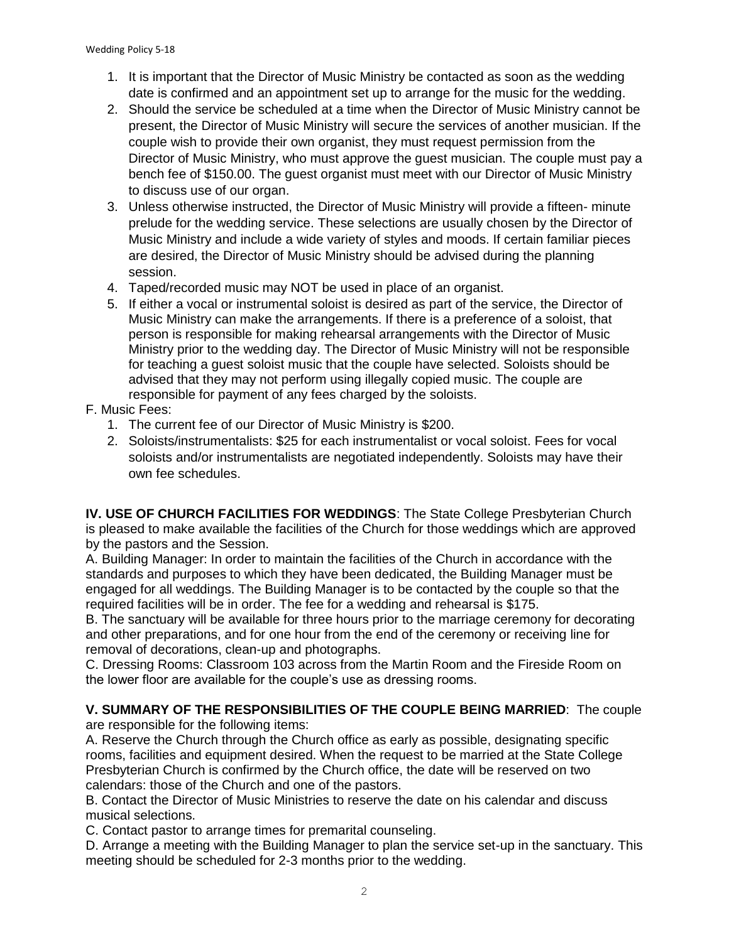- 1. It is important that the Director of Music Ministry be contacted as soon as the wedding date is confirmed and an appointment set up to arrange for the music for the wedding.
- 2. Should the service be scheduled at a time when the Director of Music Ministry cannot be present, the Director of Music Ministry will secure the services of another musician. If the couple wish to provide their own organist, they must request permission from the Director of Music Ministry, who must approve the guest musician. The couple must pay a bench fee of \$150.00. The guest organist must meet with our Director of Music Ministry to discuss use of our organ.
- 3. Unless otherwise instructed, the Director of Music Ministry will provide a fifteen- minute prelude for the wedding service. These selections are usually chosen by the Director of Music Ministry and include a wide variety of styles and moods. If certain familiar pieces are desired, the Director of Music Ministry should be advised during the planning session.
- 4. Taped/recorded music may NOT be used in place of an organist.
- 5. If either a vocal or instrumental soloist is desired as part of the service, the Director of Music Ministry can make the arrangements. If there is a preference of a soloist, that person is responsible for making rehearsal arrangements with the Director of Music Ministry prior to the wedding day. The Director of Music Ministry will not be responsible for teaching a guest soloist music that the couple have selected. Soloists should be advised that they may not perform using illegally copied music. The couple are responsible for payment of any fees charged by the soloists.

#### F. Music Fees:

- 1. The current fee of our Director of Music Ministry is \$200.
- 2. Soloists/instrumentalists: \$25 for each instrumentalist or vocal soloist. Fees for vocal soloists and/or instrumentalists are negotiated independently. Soloists may have their own fee schedules.

**IV. USE OF CHURCH FACILITIES FOR WEDDINGS**: The State College Presbyterian Church is pleased to make available the facilities of the Church for those weddings which are approved by the pastors and the Session.

A. Building Manager: In order to maintain the facilities of the Church in accordance with the standards and purposes to which they have been dedicated, the Building Manager must be engaged for all weddings. The Building Manager is to be contacted by the couple so that the required facilities will be in order. The fee for a wedding and rehearsal is \$175.

B. The sanctuary will be available for three hours prior to the marriage ceremony for decorating and other preparations, and for one hour from the end of the ceremony or receiving line for removal of decorations, clean-up and photographs.

C. Dressing Rooms: Classroom 103 across from the Martin Room and the Fireside Room on the lower floor are available for the couple's use as dressing rooms.

# **V. SUMMARY OF THE RESPONSIBILITIES OF THE COUPLE BEING MARRIED**: The couple

are responsible for the following items:

A. Reserve the Church through the Church office as early as possible, designating specific rooms, facilities and equipment desired. When the request to be married at the State College Presbyterian Church is confirmed by the Church office, the date will be reserved on two calendars: those of the Church and one of the pastors.

B. Contact the Director of Music Ministries to reserve the date on his calendar and discuss musical selections.

C. Contact pastor to arrange times for premarital counseling.

D. Arrange a meeting with the Building Manager to plan the service set-up in the sanctuary. This meeting should be scheduled for 2-3 months prior to the wedding.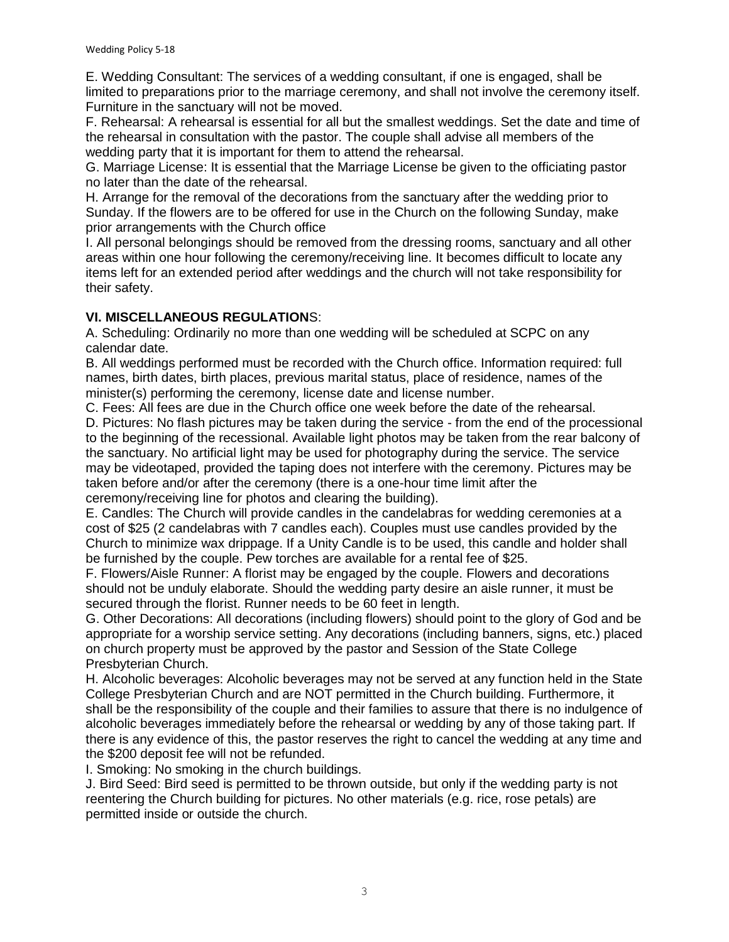E. Wedding Consultant: The services of a wedding consultant, if one is engaged, shall be limited to preparations prior to the marriage ceremony, and shall not involve the ceremony itself. Furniture in the sanctuary will not be moved.

F. Rehearsal: A rehearsal is essential for all but the smallest weddings. Set the date and time of the rehearsal in consultation with the pastor. The couple shall advise all members of the wedding party that it is important for them to attend the rehearsal.

G. Marriage License: It is essential that the Marriage License be given to the officiating pastor no later than the date of the rehearsal.

H. Arrange for the removal of the decorations from the sanctuary after the wedding prior to Sunday. If the flowers are to be offered for use in the Church on the following Sunday, make prior arrangements with the Church office

I. All personal belongings should be removed from the dressing rooms, sanctuary and all other areas within one hour following the ceremony/receiving line. It becomes difficult to locate any items left for an extended period after weddings and the church will not take responsibility for their safety.

#### **VI. MISCELLANEOUS REGULATION**S:

A. Scheduling: Ordinarily no more than one wedding will be scheduled at SCPC on any calendar date.

B. All weddings performed must be recorded with the Church office. Information required: full names, birth dates, birth places, previous marital status, place of residence, names of the minister(s) performing the ceremony, license date and license number.

C. Fees: All fees are due in the Church office one week before the date of the rehearsal.

D. Pictures: No flash pictures may be taken during the service - from the end of the processional to the beginning of the recessional. Available light photos may be taken from the rear balcony of the sanctuary. No artificial light may be used for photography during the service. The service may be videotaped, provided the taping does not interfere with the ceremony. Pictures may be taken before and/or after the ceremony (there is a one-hour time limit after the ceremony/receiving line for photos and clearing the building).

E. Candles: The Church will provide candles in the candelabras for wedding ceremonies at a cost of \$25 (2 candelabras with 7 candles each). Couples must use candles provided by the Church to minimize wax drippage. If a Unity Candle is to be used, this candle and holder shall be furnished by the couple. Pew torches are available for a rental fee of \$25.

F. Flowers/Aisle Runner: A florist may be engaged by the couple. Flowers and decorations should not be unduly elaborate. Should the wedding party desire an aisle runner, it must be secured through the florist. Runner needs to be 60 feet in length.

G. Other Decorations: All decorations (including flowers) should point to the glory of God and be appropriate for a worship service setting. Any decorations (including banners, signs, etc.) placed on church property must be approved by the pastor and Session of the State College Presbyterian Church.

H. Alcoholic beverages: Alcoholic beverages may not be served at any function held in the State College Presbyterian Church and are NOT permitted in the Church building. Furthermore, it shall be the responsibility of the couple and their families to assure that there is no indulgence of alcoholic beverages immediately before the rehearsal or wedding by any of those taking part. If there is any evidence of this, the pastor reserves the right to cancel the wedding at any time and the \$200 deposit fee will not be refunded.

I. Smoking: No smoking in the church buildings.

J. Bird Seed: Bird seed is permitted to be thrown outside, but only if the wedding party is not reentering the Church building for pictures. No other materials (e.g. rice, rose petals) are permitted inside or outside the church.